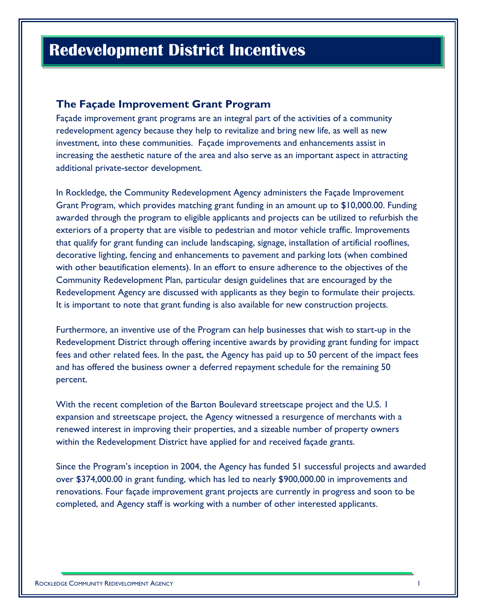# **Redevelopment District Incentives**

### **The Façade Improvement Grant Program**

Façade improvement grant programs are an integral part of the activities of a community redevelopment agency because they help to revitalize and bring new life, as well as new investment, into these communities. Façade improvements and enhancements assist in increasing the aesthetic nature of the area and also serve as an important aspect in attracting additional private-sector development.

In Rockledge, the Community Redevelopment Agency administers the Façade Improvement Grant Program, which provides matching grant funding in an amount up to \$10,000.00. Funding awarded through the program to eligible applicants and projects can be utilized to refurbish the exteriors of a property that are visible to pedestrian and motor vehicle traffic. Improvements that qualify for grant funding can include landscaping, signage, installation of artificial rooflines, decorative lighting, fencing and enhancements to pavement and parking lots (when combined with other beautification elements). In an effort to ensure adherence to the objectives of the Community Redevelopment Plan, particular design guidelines that are encouraged by the Redevelopment Agency are discussed with applicants as they begin to formulate their projects. It is important to note that grant funding is also available for new construction projects.

Furthermore, an inventive use of the Program can help businesses that wish to start-up in the Redevelopment District through offering incentive awards by providing grant funding for impact fees and other related fees. In the past, the Agency has paid up to 50 percent of the impact fees and has offered the business owner a deferred repayment schedule for the remaining 50 percent.

With the recent completion of the Barton Boulevard streetscape project and the U.S. I expansion and streetscape project, the Agency witnessed a resurgence of merchants with a renewed interest in improving their properties, and a sizeable number of property owners within the Redevelopment District have applied for and received façade grants.

Since the Program's inception in 2004, the Agency has funded 51 successful projects and awarded over \$374,000.00 in grant funding, which has led to nearly \$900,000.00 in improvements and renovations. Four façade improvement grant projects are currently in progress and soon to be completed, and Agency staff is working with a number of other interested applicants.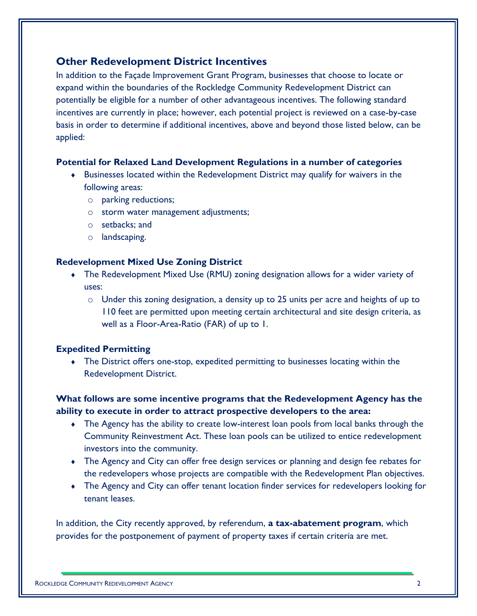# **Other Redevelopment District Incentives**

In addition to the Façade Improvement Grant Program, businesses that choose to locate or expand within the boundaries of the Rockledge Community Redevelopment District can potentially be eligible for a number of other advantageous incentives. The following standard incentives are currently in place; however, each potential project is reviewed on a case-by-case basis in order to determine if additional incentives, above and beyond those listed below, can be applied:

#### **Potential for Relaxed Land Development Regulations in a number of categories**

- Businesses located within the Redevelopment District may qualify for waivers in the following areas:
	- o parking reductions;
	- o storm water management adjustments;
	- o setbacks; and
	- o landscaping.

#### **Redevelopment Mixed Use Zoning District**

- The Redevelopment Mixed Use (RMU) zoning designation allows for a wider variety of uses:
	- o Under this zoning designation, a density up to 25 units per acre and heights of up to 110 feet are permitted upon meeting certain architectural and site design criteria, as well as a Floor-Area-Ratio (FAR) of up to 1.

#### **Expedited Permitting**

 The District offers one-stop, expedited permitting to businesses locating within the Redevelopment District.

## **What follows are some incentive programs that the Redevelopment Agency has the ability to execute in order to attract prospective developers to the area:**

- The Agency has the ability to create low-interest loan pools from local banks through the Community Reinvestment Act. These loan pools can be utilized to entice redevelopment investors into the community.
- The Agency and City can offer free design services or planning and design fee rebates for the redevelopers whose projects are compatible with the Redevelopment Plan objectives.
- The Agency and City can offer tenant location finder services for redevelopers looking for tenant leases.

In addition, the City recently approved, by referendum, **a tax-abatement program**, which provides for the postponement of payment of property taxes if certain criteria are met.